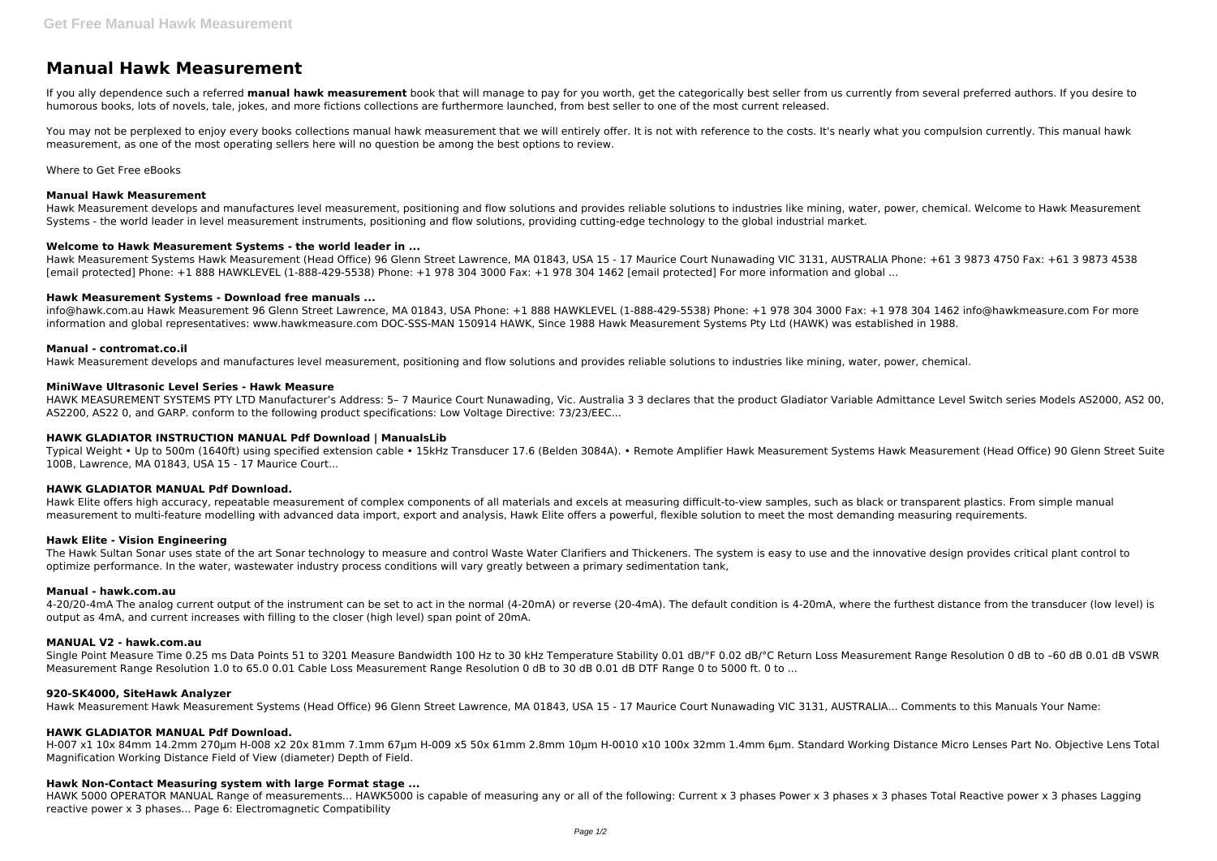# **Manual Hawk Measurement**

If you ally dependence such a referred **manual hawk measurement** book that will manage to pay for you worth, get the categorically best seller from us currently from several preferred authors. If you desire to humorous books, lots of novels, tale, jokes, and more fictions collections are furthermore launched, from best seller to one of the most current released.

You may not be perplexed to enjoy every books collections manual hawk measurement that we will entirely offer. It is not with reference to the costs. It's nearly what you compulsion currently. This manual hawk measurement, as one of the most operating sellers here will no question be among the best options to review.

Where to Get Free eBooks

# **Manual Hawk Measurement**

Hawk Measurement develops and manufactures level measurement, positioning and flow solutions and provides reliable solutions to industries like mining, water, power, chemical. Welcome to Hawk Measurement Systems - the world leader in level measurement instruments, positioning and flow solutions, providing cutting-edge technology to the global industrial market.

## **Welcome to Hawk Measurement Systems - the world leader in ...**

HAWK MEASUREMENT SYSTEMS PTY LTD Manufacturer's Address: 5- 7 Maurice Court Nunawading, Vic. Australia 3 3 declares that the product Gladiator Variable Admittance Level Switch series Models AS2000, AS2 00, AS2200, AS22 0, and GARP. conform to the following product specifications: Low Voltage Directive: 73/23/EEC...

Hawk Measurement Systems Hawk Measurement (Head Office) 96 Glenn Street Lawrence, MA 01843, USA 15 - 17 Maurice Court Nunawading VIC 3131, AUSTRALIA Phone: +61 3 9873 4750 Fax: +61 3 9873 4538 [email protected] Phone: +1 888 HAWKLEVEL (1-888-429-5538) Phone: +1 978 304 3000 Fax: +1 978 304 1462 [email protected] For more information and global ...

# **Hawk Measurement Systems - Download free manuals ...**

info@hawk.com.au Hawk Measurement 96 Glenn Street Lawrence, MA 01843, USA Phone: +1 888 HAWKLEVEL (1-888-429-5538) Phone: +1 978 304 3000 Fax: +1 978 304 1462 info@hawkmeasure.com For more information and global representatives: www.hawkmeasure.com DOC-SSS-MAN 150914 HAWK, Since 1988 Hawk Measurement Systems Pty Ltd (HAWK) was established in 1988.

## **Manual - contromat.co.il**

Hawk Measurement develops and manufactures level measurement, positioning and flow solutions and provides reliable solutions to industries like mining, water, power, chemical.

## **MiniWave Ultrasonic Level Series - Hawk Measure**

# **HAWK GLADIATOR INSTRUCTION MANUAL Pdf Download | ManualsLib**

HAWK 5000 OPERATOR MANUAL Range of measurements... HAWK5000 is capable of measuring any or all of the following: Current x 3 phases Power x 3 phases x 3 phases Total Reactive power x 3 phases Lagging reactive power x 3 phases... Page 6: Electromagnetic Compatibility

Typical Weight • Up to 500m (1640ft) using specified extension cable • 15kHz Transducer 17.6 (Belden 3084A). • Remote Amplifier Hawk Measurement Systems Hawk Measurement (Head Office) 90 Glenn Street Suite 100B, Lawrence, MA 01843, USA 15 - 17 Maurice Court...

# **HAWK GLADIATOR MANUAL Pdf Download.**

Hawk Elite offers high accuracy, repeatable measurement of complex components of all materials and excels at measuring difficult-to-view samples, such as black or transparent plastics. From simple manual measurement to multi-feature modelling with advanced data import, export and analysis, Hawk Elite offers a powerful, flexible solution to meet the most demanding measuring requirements.

#### **Hawk Elite - Vision Engineering**

The Hawk Sultan Sonar uses state of the art Sonar technology to measure and control Waste Water Clarifiers and Thickeners. The system is easy to use and the innovative design provides critical plant control to optimize performance. In the water, wastewater industry process conditions will vary greatly between a primary sedimentation tank,

#### **Manual - hawk.com.au**

4-20/20-4mA The analog current output of the instrument can be set to act in the normal (4-20mA) or reverse (20-4mA). The default condition is 4-20mA, where the furthest distance from the transducer (low level) is output as 4mA, and current increases with filling to the closer (high level) span point of 20mA.

# **MANUAL V2 - hawk.com.au**

Single Point Measure Time 0.25 ms Data Points 51 to 3201 Measure Bandwidth 100 Hz to 30 kHz Temperature Stability 0.01 dB/°F 0.02 dB/°C Return Loss Measurement Range Resolution 0 dB to –60 dB 0.01 dB VSWR Measurement Range Resolution 1.0 to 65.0 0.01 Cable Loss Measurement Range Resolution 0 dB to 30 dB 0.01 dB DTF Range 0 to 5000 ft. 0 to ...

#### **920-SK4000, SiteHawk Analyzer**

Hawk Measurement Hawk Measurement Systems (Head Office) 96 Glenn Street Lawrence, MA 01843, USA 15 - 17 Maurice Court Nunawading VIC 3131, AUSTRALIA... Comments to this Manuals Your Name:

# **HAWK GLADIATOR MANUAL Pdf Download.**

H-007 x1 10x 84mm 14.2mm 270µm H-008 x2 20x 81mm 7.1mm 67µm H-009 x5 50x 61mm 2.8mm 10µm H-0010 x10 100x 32mm 1.4mm 6µm. Standard Working Distance Micro Lenses Part No. Objective Lens Total Magnification Working Distance Field of View (diameter) Depth of Field.

# **Hawk Non-Contact Measuring system with large Format stage ...**